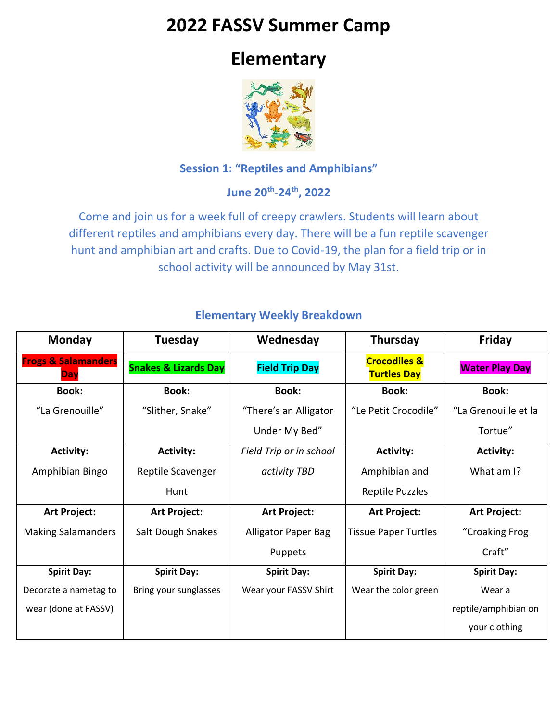# **2022 FASSV Summer Camp**

# **Elementary**



### **Session 1: "Reptiles and Amphibians"**

**June 20th -24th, 2022**

Come and join us for a week full of creepy crawlers. Students will learn about different reptiles and amphibians every day. There will be a fun reptile scavenger hunt and amphibian art and crafts. Due to Covid-19, the plan for a field trip or in school activity will be announced by May 31st.

| Monday                                | Tuesday                         | Wednesday               | Thursday                                      | Friday                |
|---------------------------------------|---------------------------------|-------------------------|-----------------------------------------------|-----------------------|
| <b>Frogs &amp; Salamanders</b><br>Day | <b>Snakes &amp; Lizards Day</b> | <b>Field Trip Day</b>   | <b>Crocodiles &amp;</b><br><b>Turtles Day</b> | <b>Water Play Day</b> |
| <b>Book:</b>                          | <b>Book:</b>                    | <b>Book:</b>            | <b>Book:</b>                                  | <b>Book:</b>          |
| "La Grenouille"                       | "Slither, Snake"                | "There's an Alligator   | "Le Petit Crocodile"                          | "La Grenouille et la  |
|                                       |                                 | Under My Bed"           |                                               | Tortue"               |
| <b>Activity:</b>                      | <b>Activity:</b>                | Field Trip or in school | <b>Activity:</b>                              | <b>Activity:</b>      |
| Amphibian Bingo                       | Reptile Scavenger               | activity TBD            | Amphibian and                                 | What am I?            |
|                                       | Hunt                            |                         | Reptile Puzzles                               |                       |
| Art Project:                          | Art Project:                    | Art Project:            | <b>Art Project:</b>                           | Art Project:          |
| <b>Making Salamanders</b>             | Salt Dough Snakes               | Alligator Paper Bag     | <b>Tissue Paper Turtles</b>                   | "Croaking Frog        |
|                                       |                                 | Puppets                 |                                               | Craft"                |
| <b>Spirit Day:</b>                    | <b>Spirit Day:</b>              | <b>Spirit Day:</b>      | <b>Spirit Day:</b>                            | <b>Spirit Day:</b>    |
| Decorate a nametag to                 | Bring your sunglasses           | Wear your FASSV Shirt   | Wear the color green                          | Wear a                |
| wear (done at FASSV)                  |                                 |                         |                                               | reptile/amphibian on  |
|                                       |                                 |                         |                                               | your clothing         |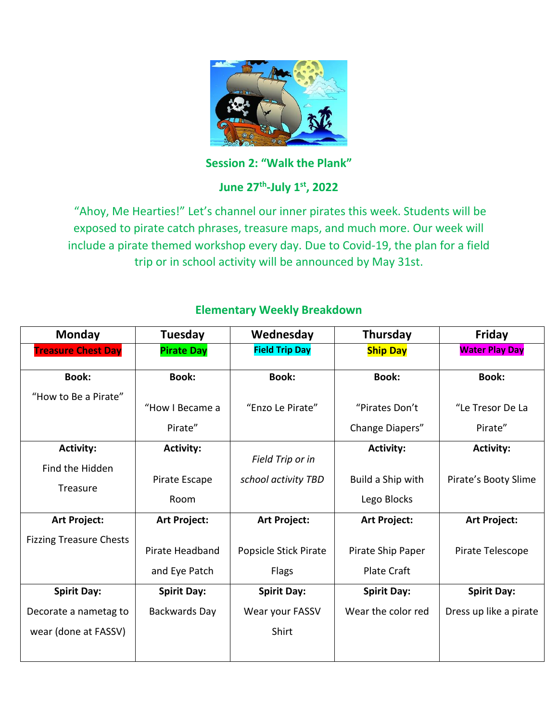

**Session 2: "Walk the Plank"**

## **June 27th -July 1st, 2022**

"Ahoy, Me Hearties!" Let's channel our inner pirates this week. Students will be exposed to pirate catch phrases, treasure maps, and much more. Our week will include a pirate themed workshop every day. Due to Covid-19, the plan for a field trip or in school activity will be announced by May 31st.

| <b>Monday</b>                  | Tuesday            | Wednesday             | Thursday           | Friday                 |
|--------------------------------|--------------------|-----------------------|--------------------|------------------------|
| <b>Treasure Chest Day</b>      | <b>Pirate Day</b>  | <b>Field Trip Day</b> | <b>Ship Day</b>    | <b>Water Play Day</b>  |
| <b>Book:</b>                   | <b>Book:</b>       | <b>Book:</b>          | <b>Book:</b>       | <b>Book:</b>           |
| "How to Be a Pirate"           |                    |                       |                    |                        |
|                                | "How I Became a    | "Enzo Le Pirate"      | "Pirates Don't     | "Le Tresor De La       |
|                                | Pirate"            |                       | Change Diapers"    | Pirate"                |
| <b>Activity:</b>               | <b>Activity:</b>   |                       | <b>Activity:</b>   | <b>Activity:</b>       |
| Find the Hidden                |                    | Field Trip or in      |                    |                        |
| Treasure                       | Pirate Escape      | school activity TBD   | Build a Ship with  | Pirate's Booty Slime   |
|                                | Room               |                       | Lego Blocks        |                        |
| Art Project:                   | Art Project:       | <b>Art Project:</b>   | Art Project:       | Art Project:           |
| <b>Fizzing Treasure Chests</b> |                    |                       |                    |                        |
|                                | Pirate Headband    | Popsicle Stick Pirate | Pirate Ship Paper  | Pirate Telescope       |
|                                | and Eye Patch      | <b>Flags</b>          | <b>Plate Craft</b> |                        |
| <b>Spirit Day:</b>             | <b>Spirit Day:</b> | <b>Spirit Day:</b>    | <b>Spirit Day:</b> | <b>Spirit Day:</b>     |
| Decorate a nametag to          | Backwards Day      | Wear your FASSV       | Wear the color red | Dress up like a pirate |
| wear (done at FASSV)           |                    | Shirt                 |                    |                        |
|                                |                    |                       |                    |                        |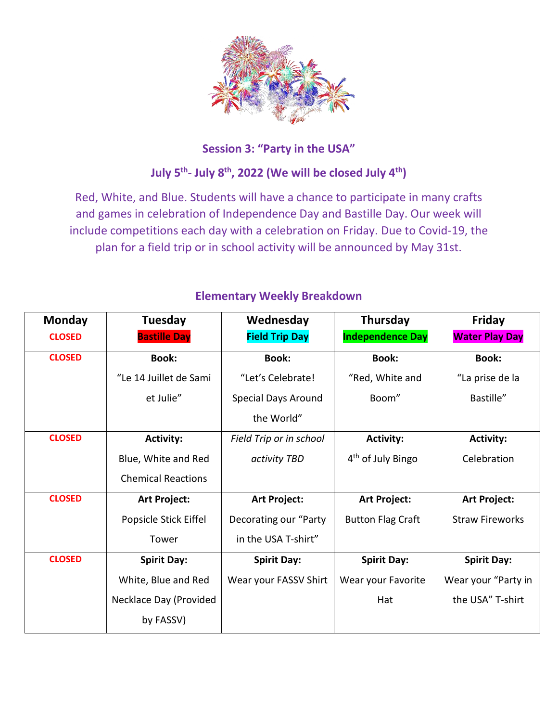

## **Session 3: "Party in the USA"**

## **July 5th - July 8th, 2022 (We will be closed July 4th)**

Red, White, and Blue. Students will have a chance to participate in many crafts and games in celebration of Independence Day and Bastille Day. Our week will include competitions each day with a celebration on Friday. Due to Covid-19, the plan for a field trip or in school activity will be announced by May 31st.

| <b>Monday</b> | Tuesday                   | Wednesday               | Thursday                      | Friday                 |
|---------------|---------------------------|-------------------------|-------------------------------|------------------------|
| <b>CLOSED</b> | <b>Bastille Day</b>       | <b>Field Trip Day</b>   | <b>Independence Day</b>       | <b>Water Play Day</b>  |
| <b>CLOSED</b> | <b>Book:</b>              | <b>Book:</b>            | <b>Book:</b>                  | <b>Book:</b>           |
|               | "Le 14 Juillet de Sami    | "Let's Celebrate!       | "Red, White and               | "La prise de la        |
|               | et Julie"                 | Special Days Around     | Boom"                         | Bastille"              |
|               |                           | the World"              |                               |                        |
| <b>CLOSED</b> | <b>Activity:</b>          | Field Trip or in school | <b>Activity:</b>              | <b>Activity:</b>       |
|               | Blue, White and Red       | activity TBD            | 4 <sup>th</sup> of July Bingo | Celebration            |
|               | <b>Chemical Reactions</b> |                         |                               |                        |
| <b>CLOSED</b> | Art Project:              | Art Project:            | Art Project:                  | Art Project:           |
|               | Popsicle Stick Eiffel     | Decorating our "Party   | <b>Button Flag Craft</b>      | <b>Straw Fireworks</b> |
|               | Tower                     | in the USA T-shirt"     |                               |                        |
| <b>CLOSED</b> | <b>Spirit Day:</b>        | <b>Spirit Day:</b>      | <b>Spirit Day:</b>            | <b>Spirit Day:</b>     |
|               | White, Blue and Red       | Wear your FASSV Shirt   | Wear your Favorite            | Wear your "Party in    |
|               | Necklace Day (Provided    |                         | Hat                           | the USA" T-shirt       |
|               | by FASSV)                 |                         |                               |                        |